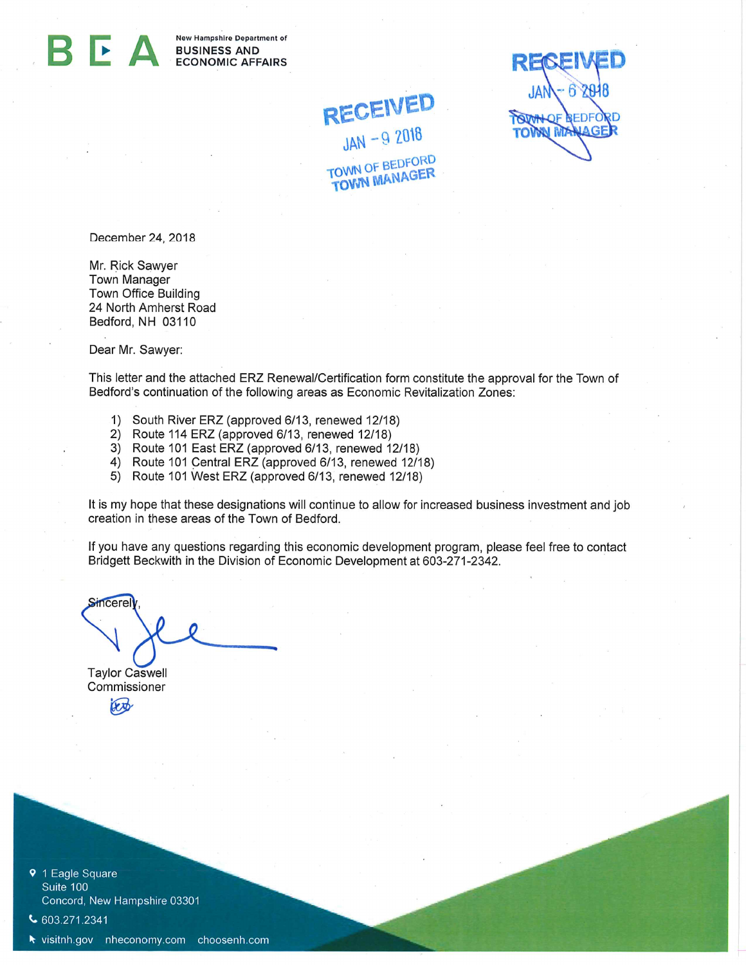New Hampshire Department of BUSINESS AND ECONOMIC AFFAIRS

RECEIVED  $JAN - 6$   $2948$ **OWN OF REDFORD IAGE** TO

December 24, 2018

Mr. Rick Sawyer Town Manager Town Office Building 24 North Amherst Road Bedford, NH 03110

Dear Mr. Sawyer:

This letter and the attached ERZ Renewal/Certification form constitute the approval for the Town of Bedford's continuation of the following areas as Economic Revitalization Zones:

RECEIVED

 $JAN - 92018$ 

**TOWN OF BEDFORD** 

**TOWN MANAGER** 

- 1) South River ERZ (approved 6/13, renewed 12/18)
- 2) Route 114 ERZ (approved 6/13, renewed 12/18)
- 3) Route 101 East ERZ (approved 6/13, renewed 12/18)
- 4) Route 101 Central ERZ (approved 6/13, renewed 12/18)
- 5) Route 101 West ERZ (approved 6/13, renewed 12/18)

It is my hope that these designations will continue to allow for increased business investment and job creation in these areas of the Town of Bedford.

If you have any questions regarding this economic development program, please feel free to contact Bridgett Beckwith in the Division of Economic Development at 603-271-2342.

Sincere Taylor Caswell

Commissioner lext

9 1 Eagle Square Suite 100 Concord, New Hampshire 03301

 $\bigcup$  603.271.2341